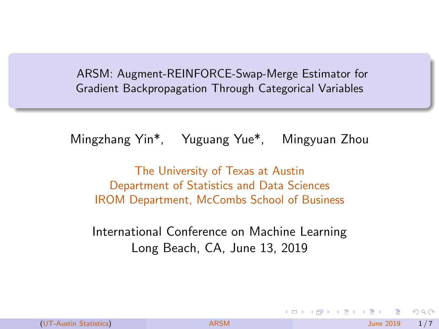<span id="page-0-0"></span>ARSM: Augment-REINFORCE-Swap-Merge Estimator for Gradient Backpropagation Through Categorical Variables

Mingzhang Yin\*, Yuguang Yue\*, Mingyuan Zhou

The University of Texas at Austin Department of Statistics and Data Sciences IROM Department, McCombs School of Business

International Conference on Machine Learning Long Beach, CA, June 13, 2019

 $\Omega$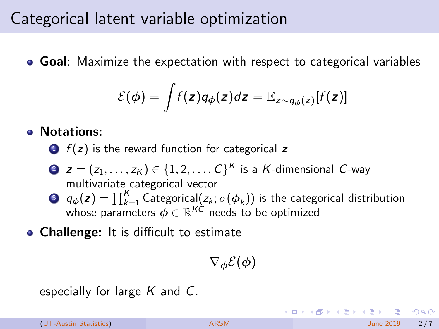#### <span id="page-1-0"></span>Categorical latent variable optimization

• Goal: Maximize the expectation with respect to categorical variables

$$
\mathcal{E}(\phi) = \int f(z) q_{\phi}(z) dz = \mathbb{E}_{z \sim q_{\phi}(z)}[f(z)]
$$

#### • Notations:

 $\bigcirc$   $f(z)$  is the reward function for categorical z

- 2  $\boldsymbol{z} = (z_1,\ldots,z_K) \in \{1,2,\ldots,C\}^K$  is a  $K$ -dimensional  $C$ -way multivariate categorical vector
- **3**  $q_{\phi}(\textbf{z}) = \prod_{k=1}^{K} \widetilde{\text{Categorical}}(z_k; \sigma(\phi_k))$  is the categorical distribution whose parameters  $\phi \in \mathbb{R}^{K\dot{C}}$  needs to be optimized
- Challenge: It is difficult to estimate

 $\nabla_{\boldsymbol{\phi}}\mathcal{E}(\boldsymbol{\phi})$ 

especially for large  $K$  and  $C$ .

(UT-Austin Statistics) [ARSM](#page-0-0) ARSM June 2019 2/7

イロト イ部 トイモ トイモト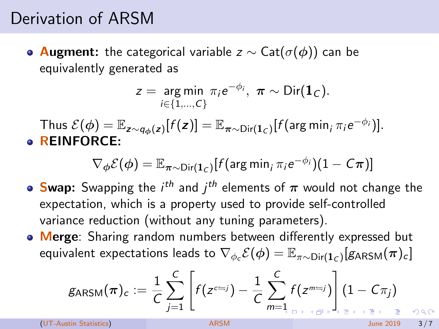## Derivation of ARSM

 $\bullet$  Augment: the categorical variable z  $\sim$  Cat( $\sigma$ ( $\phi$ )) can be equivalently generated as

$$
z = \underset{i \in \{1,\ldots,C\}}{\arg \min} \pi_i e^{-\phi_i}, \ \pi \sim \text{Dir}(\mathbf{1}_C).
$$

Thus  $\mathcal{E}(\bm{\phi}) = \mathbb{E}_{\bm{z} \sim q_{\bm{\phi}}(\bm{z})}[f(\bm{z})] = \mathbb{E}_{\bm{\pi} \sim \text{Dir}(\bm{1}_C)}[f(\text{arg min}_i \, \pi_i e^{-\phi_i})].$ **• REINFORCE:** 

 $\nabla_{\boldsymbol{\phi}} \mathcal{E}(\boldsymbol{\phi}) = \mathbb{E}_{\boldsymbol{\pi} \sim \text{Dir}(\mathbf{1}_{\mathcal{C}})} [f(\arg \min_{i} \pi_{i} e^{-\phi_{i}})(1 - \mathcal{C}\boldsymbol{\pi})]$ 

- **Swap:** Swapping the  $i^{th}$  and  $j^{th}$  elements of  $\pi$  would not change the expectation, which is a property used to provide self-controlled variance reduction (without any tuning parameters).
- Merge: Sharing random numbers between differently expressed but equivalent expectations leads to  $\nabla_{\phi_c}\mathcal{E}(\phi)=\mathbb{E}_{\pi\sim\mathsf{Dir}(\mathbf{1}_C)}[\textsf{g}_\mathsf{ARSM}(\bm{\pi})_c]$

$$
g_{\text{ARSM}}(\boldsymbol{\pi})_c := \frac{1}{C}\sum_{j=1}^C \left[f(z^{c=j}) - \frac{1}{C}\sum_{m=1}^C f(z^{m=j})\right](1 - C\pi_j)
$$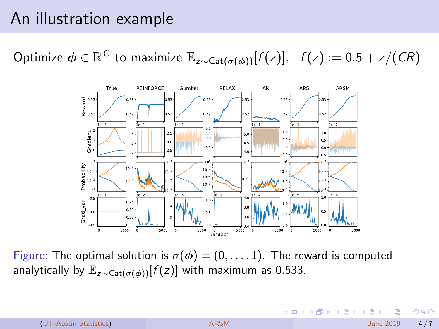### An illustration example

Optimize  $\phi \in \mathbb{R}^\mathcal{C}$  to maximize  $\mathbb{E}_{z\sim \mathsf{Cat}(\sigma(\phi))}[f(z)],\;\; f(z):=0.5+z/(CR)$ 



Figure: The optimal solution is  $\sigma(\phi) = (0, \ldots, 1)$ . The reward is computed analytically by  $\mathbb{E}_{z \sim \text{Cat}(\sigma(\phi))}[f(z)]$  with maximum as 0.533.

 $\Omega$ 

K ロト K 御 ト K 君 ト K 君 K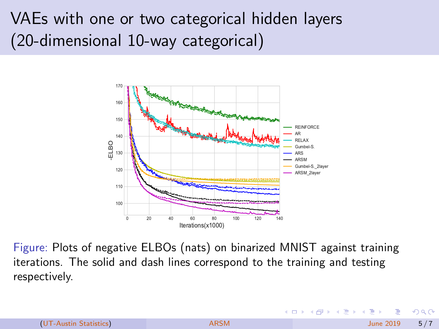# VAEs with one or two categorical hidden layers (20-dimensional 10-way categorical)



Figure: Plots of negative ELBOs (nats) on binarized MNIST against training iterations. The solid and dash lines correspond to the training and testing respectively.

◂**◻▸ ◂◚▸** 

ミドマミ

 $\Omega$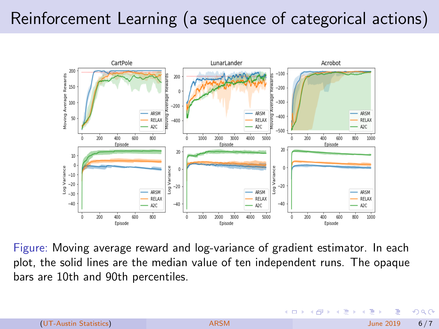# Reinforcement Learning (a sequence of categorical actions)



Figure: Moving average reward and log-variance of gradient estimator. In each plot, the solid lines are the median value of ten independent runs. The opaque bars are 10th and 90th percentiles.

 $\leftarrow$   $\Box$ 

 $\Omega$